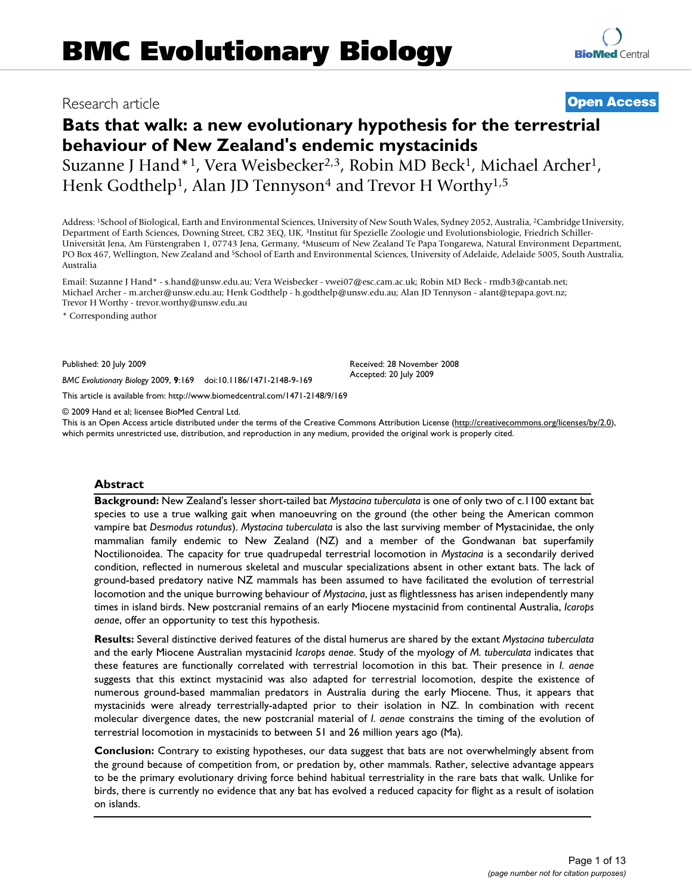## Research article **[Open Access](http://www.biomedcentral.com/info/about/charter/)**

# **Bats that walk: a new evolutionary hypothesis for the terrestrial behaviour of New Zealand's endemic mystacinids**

Suzanne J Hand\*1, Vera Weisbecker<sup>2,3</sup>, Robin MD Beck<sup>1</sup>, Michael Archer<sup>1</sup>, Henk Godthelp<sup>1</sup>, Alan JD Tennyson<sup>4</sup> and Trevor H Worthy<sup>1,5</sup>

Address: 1School of Biological, Earth and Environmental Sciences, University of New South Wales, Sydney 2052, Australia, 2Cambridge University, Department of Earth Sciences, Downing Street, CB2 3EQ, UK, 3Institut für Spezielle Zoologie und Evolutionsbiologie, Friedrich Schiller-Universität Jena, Am Fürstengraben 1, 07743 Jena, Germany, 4Museum of New Zealand Te Papa Tongarewa, Natural Environment Department, PO Box 467, Wellington, New Zealand and 5School of Earth and Environmental Sciences, University of Adelaide, Adelaide 5005, South Australia, Australia

Email: Suzanne J Hand\* - s.hand@unsw.edu.au; Vera Weisbecker - vwei07@esc.cam.ac.uk; Robin MD Beck - rmdb3@cantab.net; Michael Archer - m.archer@unsw.edu.au; Henk Godthelp - h.godthelp@unsw.edu.au; Alan JD Tennyson - alant@tepapa.govt.nz; Trevor H Worthy - trevor.worthy@unsw.edu.au

\* Corresponding author

Published: 20 July 2009

*BMC Evolutionary Biology* 2009, **9**:169 doi:10.1186/1471-2148-9-169

[This article is available from: http://www.biomedcentral.com/1471-2148/9/169](http://www.biomedcentral.com/1471-2148/9/169)

© 2009 Hand et al; licensee BioMed Central Ltd.

This is an Open Access article distributed under the terms of the Creative Commons Attribution License [\(http://creativecommons.org/licenses/by/2.0\)](http://creativecommons.org/licenses/by/2.0), which permits unrestricted use, distribution, and reproduction in any medium, provided the original work is properly cited.

## **Abstract**

**Background:** New Zealand's lesser short-tailed bat *Mystacina tuberculata* is one of only two of c.1100 extant bat species to use a true walking gait when manoeuvring on the ground (the other being the American common vampire bat *Desmodus rotundus*). *Mystacina tuberculata* is also the last surviving member of Mystacinidae, the only mammalian family endemic to New Zealand (NZ) and a member of the Gondwanan bat superfamily Noctilionoidea. The capacity for true quadrupedal terrestrial locomotion in *Mystacina* is a secondarily derived condition, reflected in numerous skeletal and muscular specializations absent in other extant bats. The lack of ground-based predatory native NZ mammals has been assumed to have facilitated the evolution of terrestrial locomotion and the unique burrowing behaviour of *Mystacina*, just as flightlessness has arisen independently many times in island birds. New postcranial remains of an early Miocene mystacinid from continental Australia, *Icarops aenae*, offer an opportunity to test this hypothesis.

**Results:** Several distinctive derived features of the distal humerus are shared by the extant *Mystacina tuberculata* and the early Miocene Australian mystacinid *Icarops aenae*. Study of the myology of *M. tuberculata* indicates that these features are functionally correlated with terrestrial locomotion in this bat. Their presence in *I. aenae* suggests that this extinct mystacinid was also adapted for terrestrial locomotion, despite the existence of numerous ground-based mammalian predators in Australia during the early Miocene. Thus, it appears that mystacinids were already terrestrially-adapted prior to their isolation in NZ. In combination with recent molecular divergence dates, the new postcranial material of *I. aenae* constrains the timing of the evolution of terrestrial locomotion in mystacinids to between 51 and 26 million years ago (Ma).

**Conclusion:** Contrary to existing hypotheses, our data suggest that bats are not overwhelmingly absent from the ground because of competition from, or predation by, other mammals. Rather, selective advantage appears to be the primary evolutionary driving force behind habitual terrestriality in the rare bats that walk. Unlike for birds, there is currently no evidence that any bat has evolved a reduced capacity for flight as a result of isolation on islands.

Received: 28 November 2008 Accepted: 20 July 2009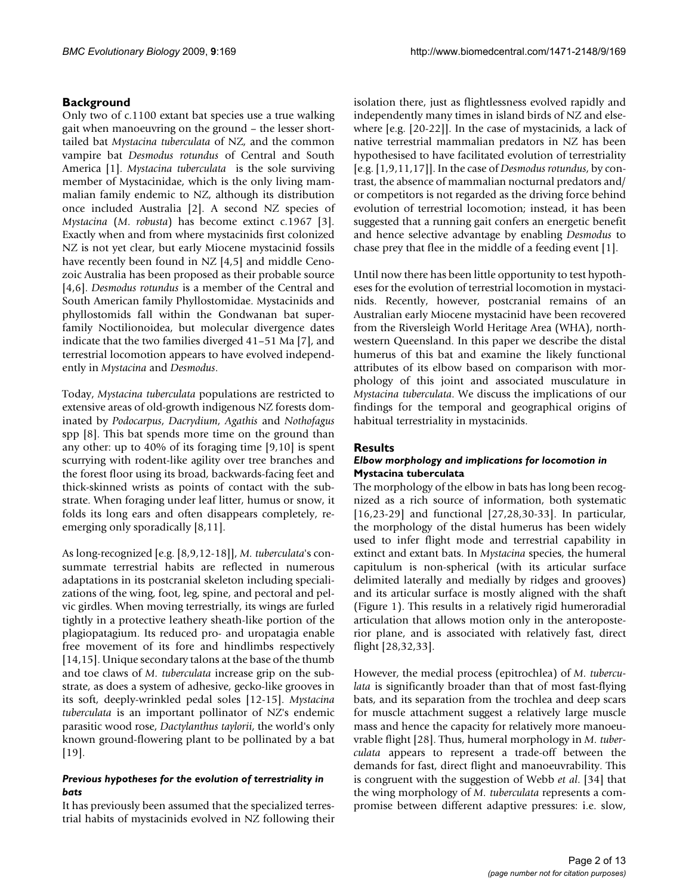## **Background**

Only two of c.1100 extant bat species use a true walking gait when manoeuvring on the ground – the lesser shorttailed bat *Mystacina tuberculata* of NZ, and the common vampire bat *Desmodus rotundus* of Central and South America [1]. *Mystacina tuberculata* is the sole surviving member of Mystacinidae, which is the only living mammalian family endemic to NZ, although its distribution once included Australia [2]. A second NZ species of *Mystacina* (*M*. *robusta*) has become extinct c.1967 [3]. Exactly when and from where mystacinids first colonized NZ is not yet clear, but early Miocene mystacinid fossils have recently been found in NZ [4,5] and middle Cenozoic Australia has been proposed as their probable source [4,6]. *Desmodus rotundus* is a member of the Central and South American family Phyllostomidae. Mystacinids and phyllostomids fall within the Gondwanan bat superfamily Noctilionoidea, but molecular divergence dates indicate that the two families diverged 41–51 Ma [7], and terrestrial locomotion appears to have evolved independently in *Mystacina* and *Desmodus*.

Today, *Mystacina tuberculata* populations are restricted to extensive areas of old-growth indigenous NZ forests dominated by *Podocarpus*, *Dacrydium*, *Agathis* and *Nothofagus* spp [8]. This bat spends more time on the ground than any other: up to 40% of its foraging time [9,10] is spent scurrying with rodent-like agility over tree branches and the forest floor using its broad, backwards-facing feet and thick-skinned wrists as points of contact with the substrate. When foraging under leaf litter, humus or snow, it folds its long ears and often disappears completely, reemerging only sporadically [8,11].

As long-recognized [e.g. [8,9,12-18]], *M. tuberculata*'s consummate terrestrial habits are reflected in numerous adaptations in its postcranial skeleton including specializations of the wing, foot, leg, spine, and pectoral and pelvic girdles. When moving terrestrially, its wings are furled tightly in a protective leathery sheath-like portion of the plagiopatagium. Its reduced pro- and uropatagia enable free movement of its fore and hindlimbs respectively [14,15]. Unique secondary talons at the base of the thumb and toe claws of *M. tuberculata* increase grip on the substrate, as does a system of adhesive, gecko-like grooves in its soft, deeply-wrinkled pedal soles [12-15]. *Mystacina tuberculata* is an important pollinator of NZ's endemic parasitic wood rose, *Dactylanthus taylorii*, the world's only known ground-flowering plant to be pollinated by a bat [19].

## *Previous hypotheses for the evolution of terrestriality in bats*

It has previously been assumed that the specialized terrestrial habits of mystacinids evolved in NZ following their isolation there, just as flightlessness evolved rapidly and independently many times in island birds of NZ and elsewhere [e.g. [20-22]]. In the case of mystacinids, a lack of native terrestrial mammalian predators in NZ has been hypothesised to have facilitated evolution of terrestriality [e.g. [1,9,11,17]]. In the case of *Desmodus rotundus*, by contrast, the absence of mammalian nocturnal predators and/ or competitors is not regarded as the driving force behind evolution of terrestrial locomotion; instead, it has been suggested that a running gait confers an energetic benefit and hence selective advantage by enabling *Desmodus* to chase prey that flee in the middle of a feeding event [1].

Until now there has been little opportunity to test hypotheses for the evolution of terrestrial locomotion in mystacinids. Recently, however, postcranial remains of an Australian early Miocene mystacinid have been recovered from the Riversleigh World Heritage Area (WHA), northwestern Queensland. In this paper we describe the distal humerus of this bat and examine the likely functional attributes of its elbow based on comparison with morphology of this joint and associated musculature in *Mystacina tuberculata*. We discuss the implications of our findings for the temporal and geographical origins of habitual terrestriality in mystacinids.

## **Results**

#### *Elbow morphology and implications for locomotion in*  **Mystacina tuberculata**

The morphology of the elbow in bats has long been recognized as a rich source of information, both systematic [16,23-29] and functional [27,28,30-33]. In particular, the morphology of the distal humerus has been widely used to infer flight mode and terrestrial capability in extinct and extant bats. In *Mystacina* species, the humeral capitulum is non-spherical (with its articular surface delimited laterally and medially by ridges and grooves) and its articular surface is mostly aligned with the shaft (Figure 1). This results in a relatively rigid humeroradial articulation that allows motion only in the anteroposterior plane, and is associated with relatively fast, direct flight [28,32,33].

However, the medial process (epitrochlea) of *M. tuberculata* is significantly broader than that of most fast-flying bats, and its separation from the trochlea and deep scars for muscle attachment suggest a relatively large muscle mass and hence the capacity for relatively more manoeuvrable flight [28]. Thus, humeral morphology in *M. tuberculata* appears to represent a trade-off between the demands for fast, direct flight and manoeuvrability. This is congruent with the suggestion of Webb *et al*. [34] that the wing morphology of *M. tuberculata* represents a compromise between different adaptive pressures: i.e. slow,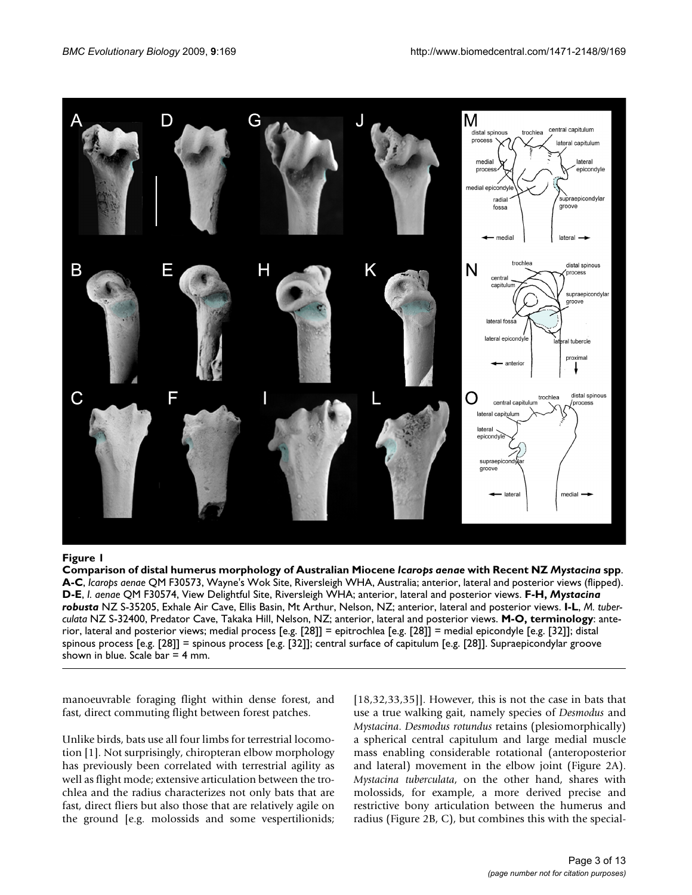

#### **Figure 1** Comparison of distal humerus morphology of Australian Miocene *Icarops aenae* with Recent NZ *Mystacina* spp

**Comparison of distal humerus morphology of Australian Miocene** *Icarops aenae* **with Recent NZ** *Mystacina* **spp**. **A-C**, *Icarops aenae* QM F30573, Wayne's Wok Site, Riversleigh WHA, Australia; anterior, lateral and posterior views (flipped). **D-E**, *I. aenae* QM F30574, View Delightful Site, Riversleigh WHA; anterior, lateral and posterior views. **F-H,** *Mystacina robusta* NZ S-35205, Exhale Air Cave, Ellis Basin, Mt Arthur, Nelson, NZ; anterior, lateral and posterior views. **I-L**, *M. tuberculata* NZ S-32400, Predator Cave, Takaka Hill, Nelson, NZ; anterior, lateral and posterior views. **M-O, terminology**: anterior, lateral and posterior views; medial process [e.g. [28]] = epitrochlea [e.g. [28]] = medial epicondyle [e.g. [32]]; distal spinous process [e.g. [28]] = spinous process [e.g. [32]]; central surface of capitulum [e.g. [28]]. Supraepicondylar groove shown in blue. Scale bar  $=$  4 mm.

manoeuvrable foraging flight within dense forest, and fast, direct commuting flight between forest patches.

Unlike birds, bats use all four limbs for terrestrial locomotion [1]. Not surprisingly, chiropteran elbow morphology has previously been correlated with terrestrial agility as well as flight mode; extensive articulation between the trochlea and the radius characterizes not only bats that are fast, direct fliers but also those that are relatively agile on the ground [e.g. molossids and some vespertilionids;

[18,32,33,35]]. However, this is not the case in bats that use a true walking gait, namely species of *Desmodus* and *Mystacina*. *Desmodus rotundus* retains (plesiomorphically) a spherical central capitulum and large medial muscle mass enabling considerable rotational (anteroposterior and lateral) movement in the elbow joint (Figure 2A). *Mystacina tuberculata*, on the other hand, shares with molossids, for example, a more derived precise and restrictive bony articulation between the humerus and radius (Figure 2B, C), but combines this with the special-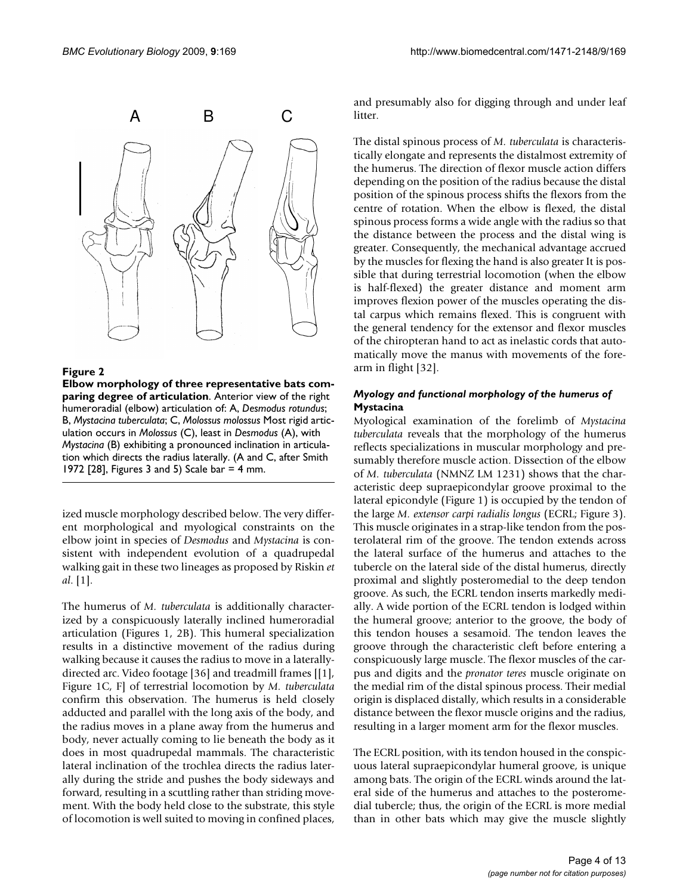

#### Figure 2

**Elbow morphology of three representative bats comparing degree of articulation**. Anterior view of the right humeroradial (elbow) articulation of: A, *Desmodus rotundus*; B, *Mystacina tuberculata*; C, *Molossus molossus* Most rigid articulation occurs in *Molossus* (C), least in *Desmodus* (A), with *Mystacina* (B) exhibiting a pronounced inclination in articulation which directs the radius laterally. (A and C, after Smith 1972 [28], Figures 3 and 5) Scale bar = 4 mm.

ized muscle morphology described below. The very different morphological and myological constraints on the elbow joint in species of *Desmodus* and *Mystacina* is consistent with independent evolution of a quadrupedal walking gait in these two lineages as proposed by Riskin *et al*. [1].

The humerus of *M. tuberculata* is additionally characterized by a conspicuously laterally inclined humeroradial articulation (Figures 1, 2B). This humeral specialization results in a distinctive movement of the radius during walking because it causes the radius to move in a laterallydirected arc. Video footage [36] and treadmill frames [[1], Figure 1C, F] of terrestrial locomotion by *M. tuberculata* confirm this observation. The humerus is held closely adducted and parallel with the long axis of the body, and the radius moves in a plane away from the humerus and body, never actually coming to lie beneath the body as it does in most quadrupedal mammals. The characteristic lateral inclination of the trochlea directs the radius laterally during the stride and pushes the body sideways and forward, resulting in a scuttling rather than striding movement. With the body held close to the substrate, this style of locomotion is well suited to moving in confined places,

and presumably also for digging through and under leaf litter.

The distal spinous process of *M. tuberculata* is characteristically elongate and represents the distalmost extremity of the humerus. The direction of flexor muscle action differs depending on the position of the radius because the distal position of the spinous process shifts the flexors from the centre of rotation. When the elbow is flexed, the distal spinous process forms a wide angle with the radius so that the distance between the process and the distal wing is greater. Consequently, the mechanical advantage accrued by the muscles for flexing the hand is also greater It is possible that during terrestrial locomotion (when the elbow is half-flexed) the greater distance and moment arm improves flexion power of the muscles operating the distal carpus which remains flexed. This is congruent with the general tendency for the extensor and flexor muscles of the chiropteran hand to act as inelastic cords that automatically move the manus with movements of the forearm in flight [32].

## *Myology and functional morphology of the humerus of*  **Mystacina**

Myological examination of the forelimb of *Mystacina tuberculata* reveals that the morphology of the humerus reflects specializations in muscular morphology and presumably therefore muscle action. Dissection of the elbow of *M. tuberculata* (NMNZ LM 1231) shows that the characteristic deep supraepicondylar groove proximal to the lateral epicondyle (Figure 1) is occupied by the tendon of the large *M. extensor carpi radialis longus* (ECRL; Figure 3). This muscle originates in a strap-like tendon from the posterolateral rim of the groove. The tendon extends across the lateral surface of the humerus and attaches to the tubercle on the lateral side of the distal humerus, directly proximal and slightly posteromedial to the deep tendon groove. As such, the ECRL tendon inserts markedly medially. A wide portion of the ECRL tendon is lodged within the humeral groove; anterior to the groove, the body of this tendon houses a sesamoid. The tendon leaves the groove through the characteristic cleft before entering a conspicuously large muscle. The flexor muscles of the carpus and digits and the *pronator teres* muscle originate on the medial rim of the distal spinous process. Their medial origin is displaced distally, which results in a considerable distance between the flexor muscle origins and the radius, resulting in a larger moment arm for the flexor muscles.

The ECRL position, with its tendon housed in the conspicuous lateral supraepicondylar humeral groove, is unique among bats. The origin of the ECRL winds around the lateral side of the humerus and attaches to the posteromedial tubercle; thus, the origin of the ECRL is more medial than in other bats which may give the muscle slightly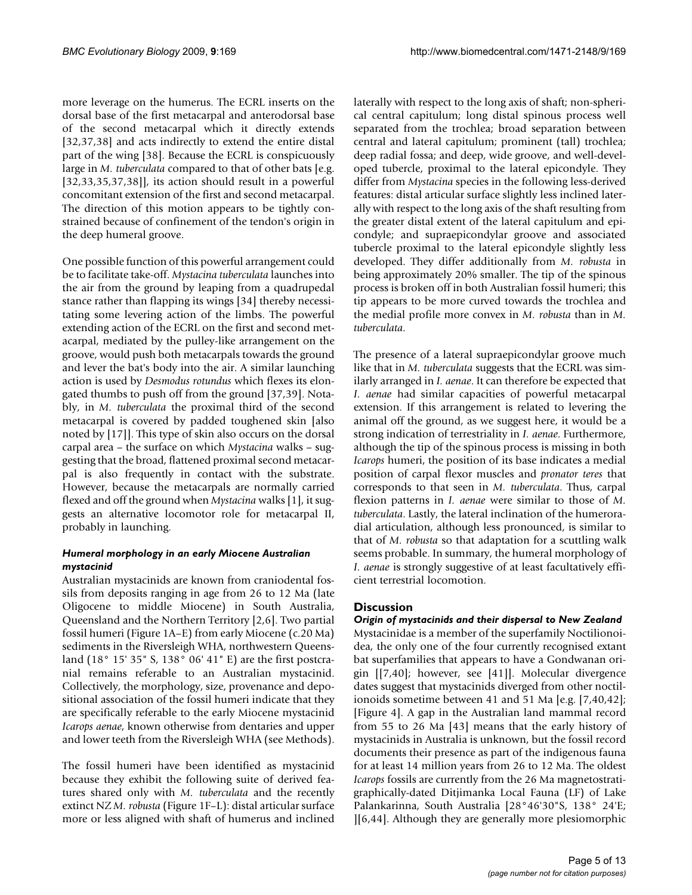more leverage on the humerus. The ECRL inserts on the dorsal base of the first metacarpal and anterodorsal base of the second metacarpal which it directly extends [32,37,38] and acts indirectly to extend the entire distal part of the wing [38]. Because the ECRL is conspicuously large in *M. tuberculata* compared to that of other bats [e.g. [32,33,35,37,38]], its action should result in a powerful concomitant extension of the first and second metacarpal. The direction of this motion appears to be tightly constrained because of confinement of the tendon's origin in the deep humeral groove.

One possible function of this powerful arrangement could be to facilitate take-off. *Mystacina tuberculata* launches into the air from the ground by leaping from a quadrupedal stance rather than flapping its wings [34] thereby necessitating some levering action of the limbs. The powerful extending action of the ECRL on the first and second metacarpal, mediated by the pulley-like arrangement on the groove, would push both metacarpals towards the ground and lever the bat's body into the air. A similar launching action is used by *Desmodus rotundus* which flexes its elongated thumbs to push off from the ground [37,39]. Notably, in *M. tuberculata* the proximal third of the second metacarpal is covered by padded toughened skin [also noted by [17]]. This type of skin also occurs on the dorsal carpal area – the surface on which *Mystacina* walks – suggesting that the broad, flattened proximal second metacarpal is also frequently in contact with the substrate. However, because the metacarpals are normally carried flexed and off the ground when *Mystacina* walks [1], it suggests an alternative locomotor role for metacarpal II, probably in launching.

## *Humeral morphology in an early Miocene Australian mystacinid*

Australian mystacinids are known from craniodental fossils from deposits ranging in age from 26 to 12 Ma (late Oligocene to middle Miocene) in South Australia, Queensland and the Northern Territory [2,6]. Two partial fossil humeri (Figure 1A–E) from early Miocene (c.20 Ma) sediments in the Riversleigh WHA, northwestern Queensland (18° 15' 35" S, 138° 06' 41" E) are the first postcranial remains referable to an Australian mystacinid. Collectively, the morphology, size, provenance and depositional association of the fossil humeri indicate that they are specifically referable to the early Miocene mystacinid *Icarops aenae*, known otherwise from dentaries and upper and lower teeth from the Riversleigh WHA (see Methods).

The fossil humeri have been identified as mystacinid because they exhibit the following suite of derived features shared only with *M. tuberculata* and the recently extinct NZ *M. robusta* (Figure 1F–L): distal articular surface more or less aligned with shaft of humerus and inclined

laterally with respect to the long axis of shaft; non-spherical central capitulum; long distal spinous process well separated from the trochlea; broad separation between central and lateral capitulum; prominent (tall) trochlea; deep radial fossa; and deep, wide groove, and well-developed tubercle, proximal to the lateral epicondyle. They differ from *Mystacina* species in the following less-derived features: distal articular surface slightly less inclined laterally with respect to the long axis of the shaft resulting from the greater distal extent of the lateral capitulum and epicondyle; and supraepicondylar groove and associated tubercle proximal to the lateral epicondyle slightly less developed. They differ additionally from *M. robusta* in being approximately 20% smaller. The tip of the spinous process is broken off in both Australian fossil humeri; this tip appears to be more curved towards the trochlea and the medial profile more convex in *M. robusta* than in *M. tuberculata*.

The presence of a lateral supraepicondylar groove much like that in *M. tuberculata* suggests that the ECRL was similarly arranged in *I. aenae*. It can therefore be expected that *I. aenae* had similar capacities of powerful metacarpal extension. If this arrangement is related to levering the animal off the ground, as we suggest here, it would be a strong indication of terrestriality in *I. aenae*. Furthermore, although the tip of the spinous process is missing in both *Icarops* humeri, the position of its base indicates a medial position of carpal flexor muscles and *pronator teres* that corresponds to that seen in *M. tuberculata*. Thus, carpal flexion patterns in *I. aenae* were similar to those of *M. tuberculata*. Lastly, the lateral inclination of the humeroradial articulation, although less pronounced, is similar to that of *M. robusta* so that adaptation for a scuttling walk seems probable. In summary, the humeral morphology of *I. aenae* is strongly suggestive of at least facultatively efficient terrestrial locomotion.

## **Discussion**

*Origin of mystacinids and their dispersal to New Zealand* Mystacinidae is a member of the superfamily Noctilionoidea, the only one of the four currently recognised extant bat superfamilies that appears to have a Gondwanan origin [[7,40]; however, see [41]]. Molecular divergence dates suggest that mystacinids diverged from other noctilionoids sometime between 41 and 51 Ma [e.g. [7,40,42]; [Figure 4]. A gap in the Australian land mammal record from 55 to 26 Ma [43] means that the early history of mystacinids in Australia is unknown, but the fossil record documents their presence as part of the indigenous fauna for at least 14 million years from 26 to 12 Ma. The oldest *Icarops* fossils are currently from the 26 Ma magnetostratigraphically-dated Ditjimanka Local Fauna (LF) of Lake Palankarinna, South Australia [28°46'30"S, 138° 24'E; ][6,44]. Although they are generally more plesiomorphic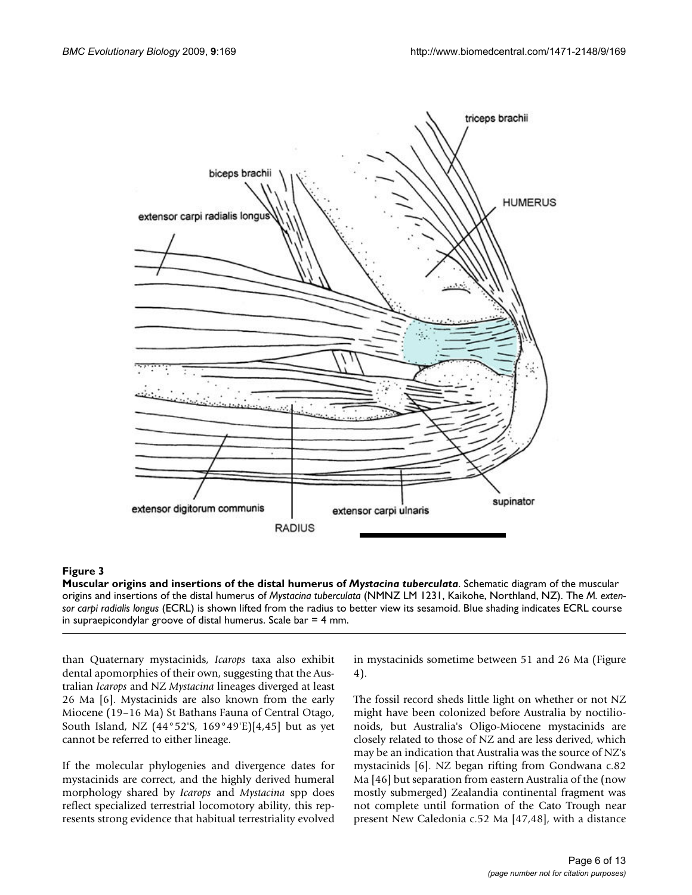

## Muscular origins and insertions of the distal humerus of **Figure 3** *Mystacina tuberculata*

**Muscular origins and insertions of the distal humerus of** *Mystacina tuberculata*. Schematic diagram of the muscular origins and insertions of the distal humerus of *Mystacina tuberculata* (NMNZ LM 1231, Kaikohe, Northland, NZ). The *M. extensor carpi radialis longus* (ECRL) is shown lifted from the radius to better view its sesamoid. Blue shading indicates ECRL course in supraepicondylar groove of distal humerus. Scale bar  $=$  4 mm.

than Quaternary mystacinids, *Icarops* taxa also exhibit dental apomorphies of their own, suggesting that the Australian *Icarops* and NZ *Mystacina* lineages diverged at least 26 Ma [6]. Mystacinids are also known from the early Miocene (19–16 Ma) St Bathans Fauna of Central Otago, South Island, NZ (44°52'S, 169°49'E)[4,45] but as yet cannot be referred to either lineage.

If the molecular phylogenies and divergence dates for mystacinids are correct, and the highly derived humeral morphology shared by *Icarops* and *Mystacina* spp does reflect specialized terrestrial locomotory ability, this represents strong evidence that habitual terrestriality evolved in mystacinids sometime between 51 and 26 Ma (Figure 4).

The fossil record sheds little light on whether or not NZ might have been colonized before Australia by noctilionoids, but Australia's Oligo-Miocene mystacinids are closely related to those of NZ and are less derived, which may be an indication that Australia was the source of NZ's mystacinids [6]. NZ began rifting from Gondwana c.82 Ma [46] but separation from eastern Australia of the (now mostly submerged) Zealandia continental fragment was not complete until formation of the Cato Trough near present New Caledonia c.52 Ma [47,48], with a distance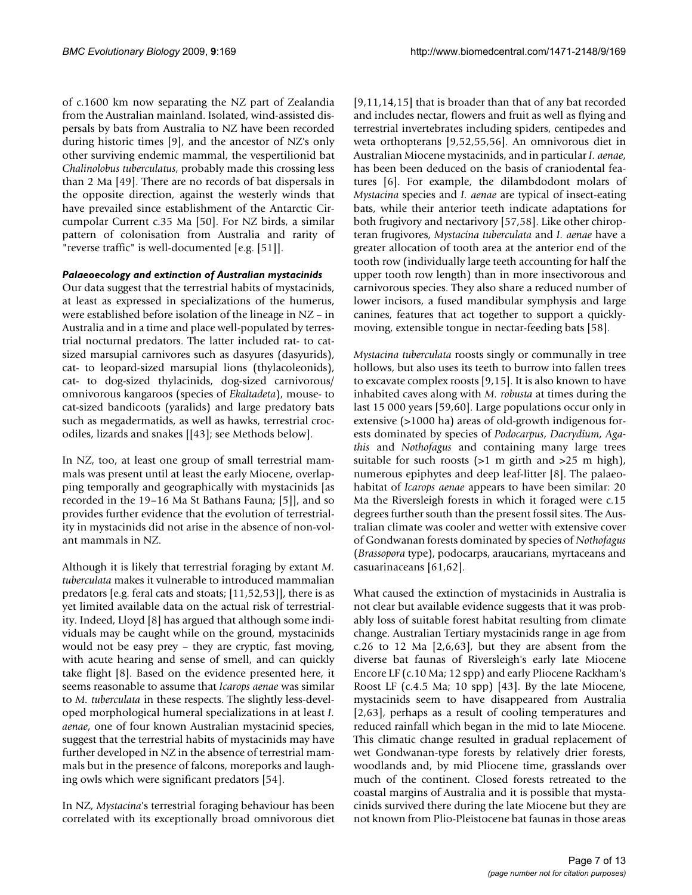of c.1600 km now separating the NZ part of Zealandia from the Australian mainland. Isolated, wind-assisted dispersals by bats from Australia to NZ have been recorded during historic times [9], and the ancestor of NZ's only other surviving endemic mammal, the vespertilionid bat *Chalinolobus tuberculatus*, probably made this crossing less than 2 Ma [49]. There are no records of bat dispersals in the opposite direction, against the westerly winds that have prevailed since establishment of the Antarctic Circumpolar Current c.35 Ma [50]. For NZ birds, a similar pattern of colonisation from Australia and rarity of "reverse traffic" is well-documented [e.g. [51]].

## *Palaeoecology and extinction of Australian mystacinids*

Our data suggest that the terrestrial habits of mystacinids, at least as expressed in specializations of the humerus, were established before isolation of the lineage in NZ – in Australia and in a time and place well-populated by terrestrial nocturnal predators. The latter included rat- to catsized marsupial carnivores such as dasyures (dasyurids), cat- to leopard-sized marsupial lions (thylacoleonids), cat- to dog-sized thylacinids, dog-sized carnivorous/ omnivorous kangaroos (species of *Ekaltadeta*), mouse- to cat-sized bandicoots (yaralids) and large predatory bats such as megadermatids, as well as hawks, terrestrial crocodiles, lizards and snakes [[43]; see Methods below].

In NZ, too, at least one group of small terrestrial mammals was present until at least the early Miocene, overlapping temporally and geographically with mystacinids [as recorded in the 19–16 Ma St Bathans Fauna; [5]], and so provides further evidence that the evolution of terrestriality in mystacinids did not arise in the absence of non-volant mammals in NZ.

Although it is likely that terrestrial foraging by extant *M. tuberculata* makes it vulnerable to introduced mammalian predators [e.g. feral cats and stoats; [11,52,53]], there is as yet limited available data on the actual risk of terrestriality. Indeed, Lloyd [8] has argued that although some individuals may be caught while on the ground, mystacinids would not be easy prey – they are cryptic, fast moving, with acute hearing and sense of smell, and can quickly take flight [8]. Based on the evidence presented here, it seems reasonable to assume that *Icarops aenae* was similar to *M. tuberculata* in these respects. The slightly less-developed morphological humeral specializations in at least *I. aenae*, one of four known Australian mystacinid species, suggest that the terrestrial habits of mystacinids may have further developed in NZ in the absence of terrestrial mammals but in the presence of falcons, moreporks and laughing owls which were significant predators [54].

In NZ, *Mystacina*'s terrestrial foraging behaviour has been correlated with its exceptionally broad omnivorous diet

[9,11,14,15] that is broader than that of any bat recorded and includes nectar, flowers and fruit as well as flying and terrestrial invertebrates including spiders, centipedes and weta orthopterans [9,52,55,56]. An omnivorous diet in Australian Miocene mystacinids, and in particular *I. aenae*, has been been deduced on the basis of craniodental features [6]. For example, the dilambdodont molars of *Mystacina* species and *I. aenae* are typical of insect-eating bats, while their anterior teeth indicate adaptations for both frugivory and nectarivory [57,58]. Like other chiropteran frugivores, *Mystacina tuberculata* and *I. aenae* have a greater allocation of tooth area at the anterior end of the tooth row (individually large teeth accounting for half the upper tooth row length) than in more insectivorous and carnivorous species. They also share a reduced number of lower incisors, a fused mandibular symphysis and large canines, features that act together to support a quicklymoving, extensible tongue in nectar-feeding bats [58].

*Mystacina tuberculata* roosts singly or communally in tree hollows, but also uses its teeth to burrow into fallen trees to excavate complex roosts [9,15]. It is also known to have inhabited caves along with *M. robusta* at times during the last 15 000 years [59,60]. Large populations occur only in extensive (>1000 ha) areas of old-growth indigenous forests dominated by species of *Podocarpus*, *Dacrydium*, *Agathis* and *Nothofagus* and containing many large trees suitable for such roosts  $(>1 \text{ m} \text{ girth}$  and  $>25 \text{ m} \text{ high})$ , numerous epiphytes and deep leaf-litter [8]. The palaeohabitat of *Icarops aenae* appears to have been similar: 20 Ma the Riversleigh forests in which it foraged were c.15 degrees further south than the present fossil sites. The Australian climate was cooler and wetter with extensive cover of Gondwanan forests dominated by species of *Nothofagus* (*Brassopora* type), podocarps, araucarians, myrtaceans and casuarinaceans [61,62].

What caused the extinction of mystacinids in Australia is not clear but available evidence suggests that it was probably loss of suitable forest habitat resulting from climate change. Australian Tertiary mystacinids range in age from c.26 to 12 Ma [2,6,63], but they are absent from the diverse bat faunas of Riversleigh's early late Miocene Encore LF (c.10 Ma; 12 spp) and early Pliocene Rackham's Roost LF (c.4.5 Ma; 10 spp) [43]. By the late Miocene, mystacinids seem to have disappeared from Australia [2,63], perhaps as a result of cooling temperatures and reduced rainfall which began in the mid to late Miocene. This climatic change resulted in gradual replacement of wet Gondwanan-type forests by relatively drier forests, woodlands and, by mid Pliocene time, grasslands over much of the continent. Closed forests retreated to the coastal margins of Australia and it is possible that mystacinids survived there during the late Miocene but they are not known from Plio-Pleistocene bat faunas in those areas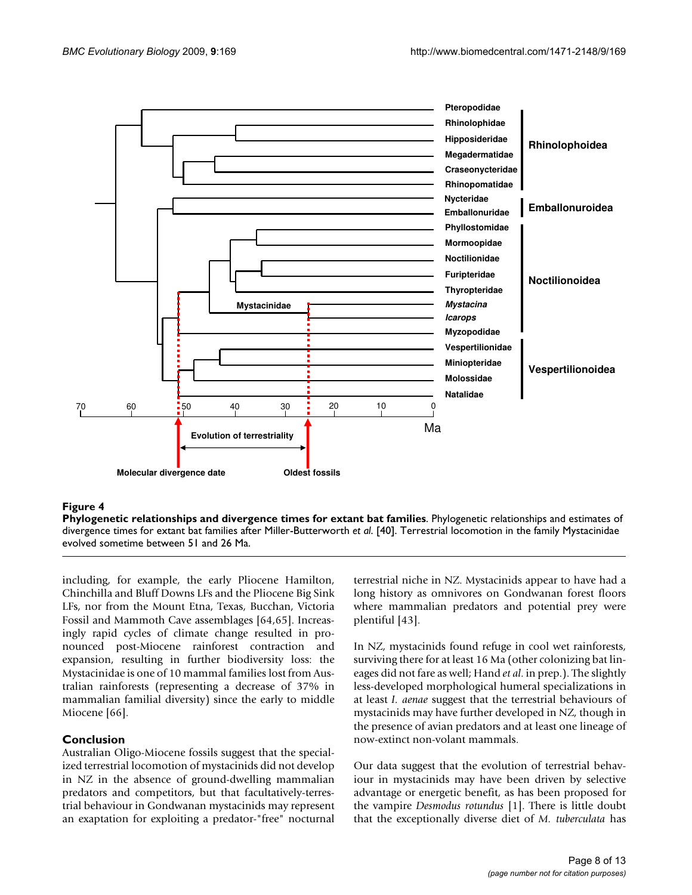

## **Figure 4**

**Phylogenetic relationships and divergence times for extant bat families**. Phylogenetic relationships and estimates of divergence times for extant bat families after Miller-Butterworth *et al*. [40]. Terrestrial locomotion in the family Mystacinidae evolved sometime between 51 and 26 Ma.

including, for example, the early Pliocene Hamilton, Chinchilla and Bluff Downs LFs and the Pliocene Big Sink LFs, nor from the Mount Etna, Texas, Bucchan, Victoria Fossil and Mammoth Cave assemblages [64,65]. Increasingly rapid cycles of climate change resulted in pronounced post-Miocene rainforest contraction and expansion, resulting in further biodiversity loss: the Mystacinidae is one of 10 mammal families lost from Australian rainforests (representing a decrease of 37% in mammalian familial diversity) since the early to middle Miocene [66].

## **Conclusion**

Australian Oligo-Miocene fossils suggest that the specialized terrestrial locomotion of mystacinids did not develop in NZ in the absence of ground-dwelling mammalian predators and competitors, but that facultatively-terrestrial behaviour in Gondwanan mystacinids may represent an exaptation for exploiting a predator-"free" nocturnal

terrestrial niche in NZ. Mystacinids appear to have had a long history as omnivores on Gondwanan forest floors where mammalian predators and potential prey were plentiful [43].

In NZ, mystacinids found refuge in cool wet rainforests, surviving there for at least 16 Ma (other colonizing bat lineages did not fare as well; Hand *et al*. in prep.). The slightly less-developed morphological humeral specializations in at least *I. aenae* suggest that the terrestrial behaviours of mystacinids may have further developed in NZ, though in the presence of avian predators and at least one lineage of now-extinct non-volant mammals.

Our data suggest that the evolution of terrestrial behaviour in mystacinids may have been driven by selective advantage or energetic benefit, as has been proposed for the vampire *Desmodus rotundus* [1]. There is little doubt that the exceptionally diverse diet of *M. tuberculata* has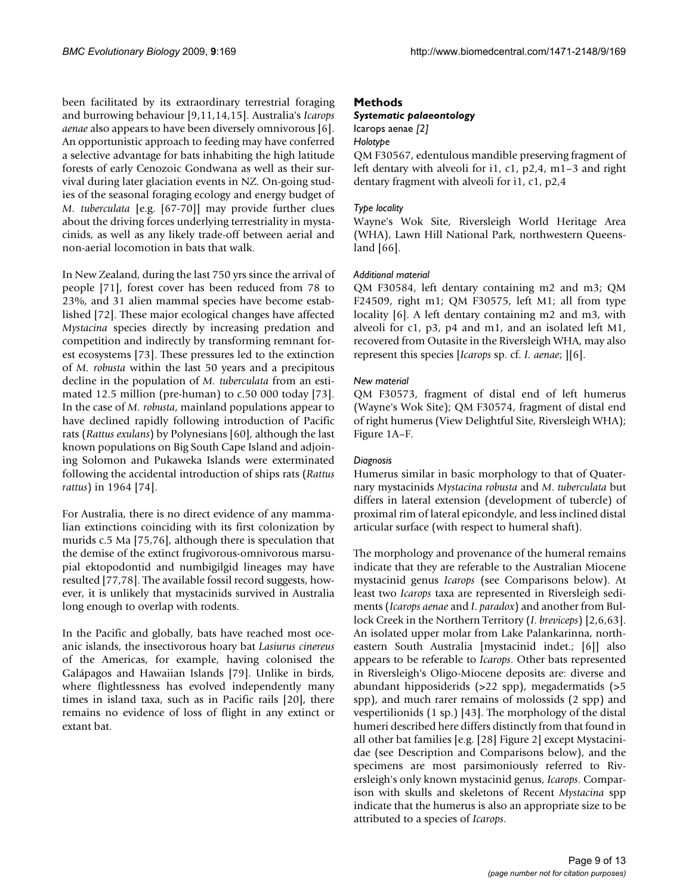been facilitated by its extraordinary terrestrial foraging and burrowing behaviour [9,11,14,15]. Australia's *Icarops aenae* also appears to have been diversely omnivorous [6]. An opportunistic approach to feeding may have conferred a selective advantage for bats inhabiting the high latitude forests of early Cenozoic Gondwana as well as their survival during later glaciation events in NZ. On-going studies of the seasonal foraging ecology and energy budget of *M. tuberculata* [e.g. [67-70]] may provide further clues about the driving forces underlying terrestriality in mystacinids, as well as any likely trade-off between aerial and non-aerial locomotion in bats that walk.

In New Zealand, during the last 750 yrs since the arrival of people [71], forest cover has been reduced from 78 to 23%, and 31 alien mammal species have become established [72]. These major ecological changes have affected *Mystacina* species directly by increasing predation and competition and indirectly by transforming remnant forest ecosystems [73]. These pressures led to the extinction of *M. robusta* within the last 50 years and a precipitous decline in the population of *M. tuberculata* from an estimated 12.5 million (pre-human) to c.50 000 today [73]. In the case of *M. robusta*, mainland populations appear to have declined rapidly following introduction of Pacific rats (*Rattus exulans*) by Polynesians [60], although the last known populations on Big South Cape Island and adjoining Solomon and Pukaweka Islands were exterminated following the accidental introduction of ships rats (*Rattus rattus*) in 1964 [74].

For Australia, there is no direct evidence of any mammalian extinctions coinciding with its first colonization by murids c.5 Ma [75,76], although there is speculation that the demise of the extinct frugivorous-omnivorous marsupial ektopodontid and numbigilgid lineages may have resulted [77,78]. The available fossil record suggests, however, it is unlikely that mystacinids survived in Australia long enough to overlap with rodents.

In the Pacific and globally, bats have reached most oceanic islands, the insectivorous hoary bat *Lasiurus cinereus* of the Americas, for example, having colonised the Galápagos and Hawaiian Islands [79]. Unlike in birds, where flightlessness has evolved independently many times in island taxa, such as in Pacific rails [20], there remains no evidence of loss of flight in any extinct or extant bat.

#### **Methods**

#### *Systematic palaeontology*

Icarops aenae *[2]*

*Holotype*

QM F30567, edentulous mandible preserving fragment of left dentary with alveoli for i1, c1, p2,4, m1–3 and right dentary fragment with alveoli for i1, c1, p2,4

#### *Type locality*

Wayne's Wok Site, Riversleigh World Heritage Area (WHA), Lawn Hill National Park, northwestern Queensland [66].

#### *Additional material*

QM F30584, left dentary containing m2 and m3; QM F24509, right m1; QM F30575, left M1; all from type locality [6]. A left dentary containing m2 and m3, with alveoli for c1, p3, p4 and m1, and an isolated left M1, recovered from Outasite in the Riversleigh WHA, may also represent this species [*Icarops* sp. cf. *I. aenae*; ][6].

#### *New material*

QM F30573, fragment of distal end of left humerus (Wayne's Wok Site); QM F30574, fragment of distal end of right humerus (View Delightful Site, Riversleigh WHA); Figure 1A–F.

## *Diagnosis*

Humerus similar in basic morphology to that of Quaternary mystacinids *Mystacina robusta* and *M*. *tuberculata* but differs in lateral extension (development of tubercle) of proximal rim of lateral epicondyle, and less inclined distal articular surface (with respect to humeral shaft).

The morphology and provenance of the humeral remains indicate that they are referable to the Australian Miocene mystacinid genus *Icarops* (see Comparisons below). At least two *Icarops* taxa are represented in Riversleigh sediments (*Icarops aenae* and *I*. *paradox*) and another from Bullock Creek in the Northern Territory (*I*. *breviceps*) [2,6,63]. An isolated upper molar from Lake Palankarinna, northeastern South Australia [mystacinid indet.; [6]] also appears to be referable to *Icarops*. Other bats represented in Riversleigh's Oligo-Miocene deposits are: diverse and abundant hipposiderids (>22 spp), megadermatids (>5 spp), and much rarer remains of molossids (2 spp) and vespertilionids (1 sp.) [43]. The morphology of the distal humeri described here differs distinctly from that found in all other bat families [e.g. [28] Figure 2] except Mystacinidae (see Description and Comparisons below), and the specimens are most parsimoniously referred to Riversleigh's only known mystacinid genus, *Icarops*. Comparison with skulls and skeletons of Recent *Mystacina* spp indicate that the humerus is also an appropriate size to be attributed to a species of *Icarops*.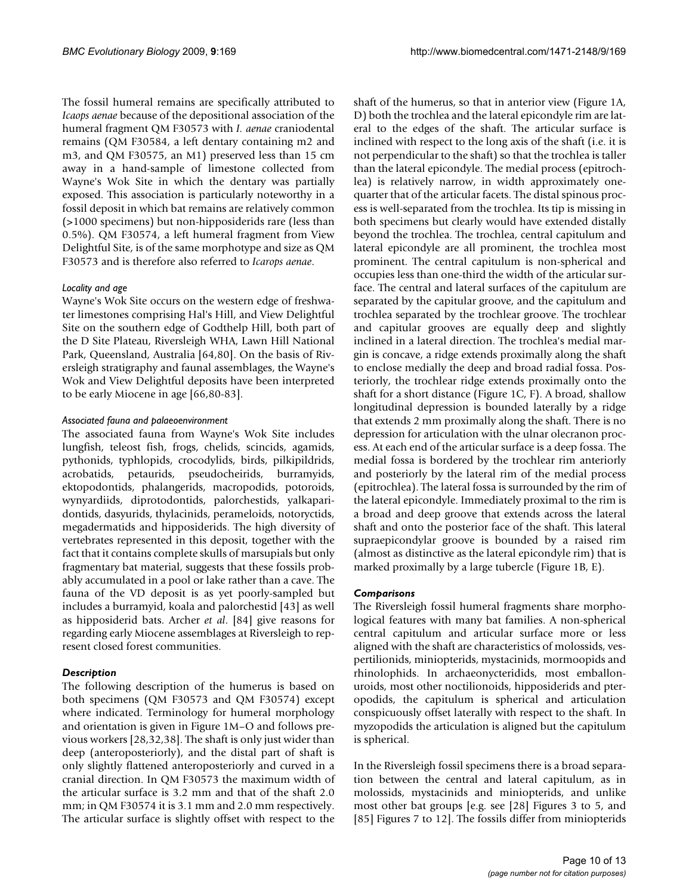The fossil humeral remains are specifically attributed to *Icaops aenae* because of the depositional association of the humeral fragment QM F30573 with *I. aenae* craniodental remains (QM F30584, a left dentary containing m2 and m3, and QM F30575, an M1) preserved less than 15 cm away in a hand-sample of limestone collected from Wayne's Wok Site in which the dentary was partially exposed. This association is particularly noteworthy in a fossil deposit in which bat remains are relatively common (>1000 specimens) but non-hipposiderids rare (less than 0.5%). QM F30574, a left humeral fragment from View Delightful Site, is of the same morphotype and size as QM F30573 and is therefore also referred to *Icarops aenae*.

## *Locality and age*

Wayne's Wok Site occurs on the western edge of freshwater limestones comprising Hal's Hill, and View Delightful Site on the southern edge of Godthelp Hill, both part of the D Site Plateau, Riversleigh WHA, Lawn Hill National Park, Queensland, Australia [64,80]. On the basis of Riversleigh stratigraphy and faunal assemblages, the Wayne's Wok and View Delightful deposits have been interpreted to be early Miocene in age [66,80-83].

## *Associated fauna and palaeoenvironment*

The associated fauna from Wayne's Wok Site includes lungfish, teleost fish, frogs, chelids, scincids, agamids, pythonids, typhlopids, crocodylids, birds, pilkipildrids, acrobatids, petaurids, pseudocheirids, burramyids, ektopodontids, phalangerids, macropodids, potoroids, wynyardiids, diprotodontids, palorchestids, yalkaparidontids, dasyurids, thylacinids, perameloids, notoryctids, megadermatids and hipposiderids. The high diversity of vertebrates represented in this deposit, together with the fact that it contains complete skulls of marsupials but only fragmentary bat material, suggests that these fossils probably accumulated in a pool or lake rather than a cave. The fauna of the VD deposit is as yet poorly-sampled but includes a burramyid, koala and palorchestid [43] as well as hipposiderid bats. Archer *et al*. [84] give reasons for regarding early Miocene assemblages at Riversleigh to represent closed forest communities.

## *Description*

The following description of the humerus is based on both specimens (QM F30573 and QM F30574) except where indicated. Terminology for humeral morphology and orientation is given in Figure 1M–O and follows previous workers [28,32,38]. The shaft is only just wider than deep (anteroposteriorly), and the distal part of shaft is only slightly flattened anteroposteriorly and curved in a cranial direction. In QM F30573 the maximum width of the articular surface is 3.2 mm and that of the shaft 2.0 mm; in QM F30574 it is 3.1 mm and 2.0 mm respectively. The articular surface is slightly offset with respect to the shaft of the humerus, so that in anterior view (Figure 1A, D) both the trochlea and the lateral epicondyle rim are lateral to the edges of the shaft. The articular surface is inclined with respect to the long axis of the shaft (i.e. it is not perpendicular to the shaft) so that the trochlea is taller than the lateral epicondyle. The medial process (epitrochlea) is relatively narrow, in width approximately onequarter that of the articular facets. The distal spinous process is well-separated from the trochlea. Its tip is missing in both specimens but clearly would have extended distally beyond the trochlea. The trochlea, central capitulum and lateral epicondyle are all prominent, the trochlea most prominent. The central capitulum is non-spherical and occupies less than one-third the width of the articular surface. The central and lateral surfaces of the capitulum are separated by the capitular groove, and the capitulum and trochlea separated by the trochlear groove. The trochlear and capitular grooves are equally deep and slightly inclined in a lateral direction. The trochlea's medial margin is concave, a ridge extends proximally along the shaft to enclose medially the deep and broad radial fossa. Posteriorly, the trochlear ridge extends proximally onto the shaft for a short distance (Figure 1C, F). A broad, shallow longitudinal depression is bounded laterally by a ridge that extends 2 mm proximally along the shaft. There is no depression for articulation with the ulnar olecranon process. At each end of the articular surface is a deep fossa. The medial fossa is bordered by the trochlear rim anteriorly and posteriorly by the lateral rim of the medial process (epitrochlea). The lateral fossa is surrounded by the rim of the lateral epicondyle. Immediately proximal to the rim is a broad and deep groove that extends across the lateral shaft and onto the posterior face of the shaft. This lateral supraepicondylar groove is bounded by a raised rim (almost as distinctive as the lateral epicondyle rim) that is marked proximally by a large tubercle (Figure 1B, E).

## *Comparisons*

The Riversleigh fossil humeral fragments share morphological features with many bat families. A non-spherical central capitulum and articular surface more or less aligned with the shaft are characteristics of molossids, vespertilionids, miniopterids, mystacinids, mormoopids and rhinolophids. In archaeonycteridids, most emballonuroids, most other noctilionoids, hipposiderids and pteropodids, the capitulum is spherical and articulation conspicuously offset laterally with respect to the shaft. In myzopodids the articulation is aligned but the capitulum is spherical.

In the Riversleigh fossil specimens there is a broad separation between the central and lateral capitulum, as in molossids, mystacinids and miniopterids, and unlike most other bat groups [e.g. see [28] Figures 3 to 5, and [85] Figures 7 to 12]. The fossils differ from miniopterids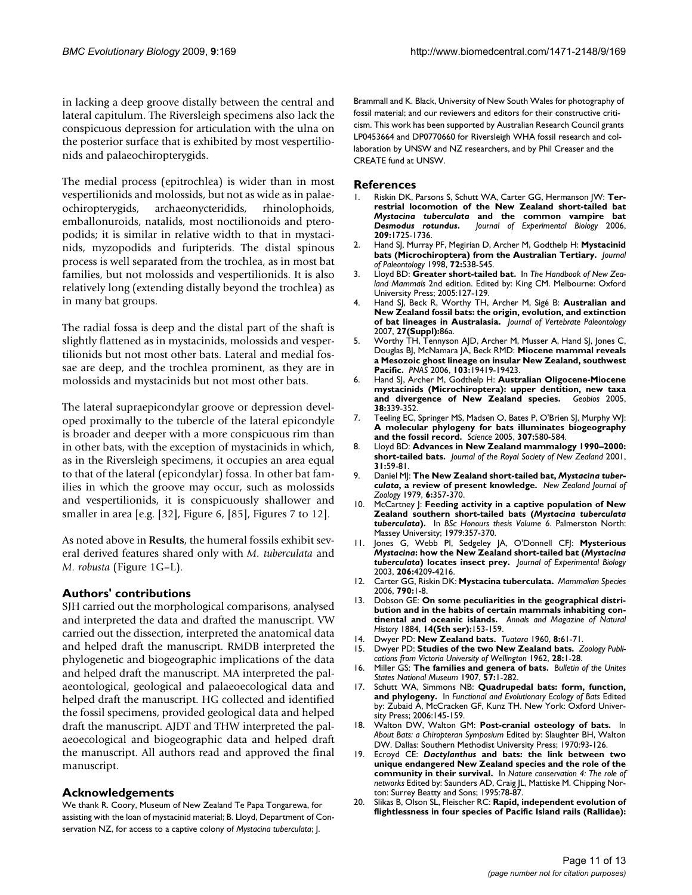in lacking a deep groove distally between the central and lateral capitulum. The Riversleigh specimens also lack the conspicuous depression for articulation with the ulna on the posterior surface that is exhibited by most vespertilionids and palaeochiropterygids.

The medial process (epitrochlea) is wider than in most vespertilionids and molossids, but not as wide as in palaeochiropterygids, archaeonycteridids, rhinolophoids, emballonuroids, natalids, most noctilionoids and pteropodids; it is similar in relative width to that in mystacinids, myzopodids and furipterids. The distal spinous process is well separated from the trochlea, as in most bat families, but not molossids and vespertilionids. It is also relatively long (extending distally beyond the trochlea) as in many bat groups.

The radial fossa is deep and the distal part of the shaft is slightly flattened as in mystacinids, molossids and vespertilionids but not most other bats. Lateral and medial fossae are deep, and the trochlea prominent, as they are in molossids and mystacinids but not most other bats.

The lateral supraepicondylar groove or depression developed proximally to the tubercle of the lateral epicondyle is broader and deeper with a more conspicuous rim than in other bats, with the exception of mystacinids in which, as in the Riversleigh specimens, it occupies an area equal to that of the lateral (epicondylar) fossa. In other bat families in which the groove may occur, such as molossids and vespertilionids, it is conspicuously shallower and smaller in area [e.g. [32], Figure 6, [85], Figures 7 to 12].

As noted above in **Results**, the humeral fossils exhibit several derived features shared only with *M. tuberculata* and *M. robusta* (Figure 1G–L).

## **Authors' contributions**

SJH carried out the morphological comparisons, analysed and interpreted the data and drafted the manuscript. VW carried out the dissection, interpreted the anatomical data and helped draft the manuscript. RMDB interpreted the phylogenetic and biogeographic implications of the data and helped draft the manuscript. MA interpreted the palaeontological, geological and palaeoecological data and helped draft the manuscript. HG collected and identified the fossil specimens, provided geological data and helped draft the manuscript. AJDT and THW interpreted the palaeoecological and biogeographic data and helped draft the manuscript. All authors read and approved the final manuscript.

## **Acknowledgements**

We thank R. Coory, Museum of New Zealand Te Papa Tongarewa, for assisting with the loan of mystacinid material; B. Lloyd, Department of Conservation NZ, for access to a captive colony of *Mystacina tuberculata*; J.

Brammall and K. Black, University of New South Wales for photography of fossil material; and our reviewers and editors for their constructive criticism. This work has been supported by Australian Research Council grants LP0453664 and DP0770660 for Riversleigh WHA fossil research and collaboration by UNSW and NZ researchers, and by Phil Creaser and the CREATE fund at UNSW.

#### **References**

- 1. Riskin DK, Parsons S, Schutt WA, Carter GG, Hermanson JW: **Terrestrial locomotion of the New Zealand short-tailed bat** *Mystacina tuberculata* **and the common vampire bat** *Desmodus rotundus***[.](http://www.ncbi.nlm.nih.gov/entrez/query.fcgi?cmd=Retrieve&db=PubMed&dopt=Abstract&list_uids=16621953)** *Journal of Experimental Biology* 2006, **209:**1725-1736.
- 2. Hand SJ, Murray PF, Megirian D, Archer M, Godthelp H: **Mystacinid bats (Microchiroptera) from the Australian Tertiary.** *Journal of Paleontology* 1998, **72:**538-545.
- 3. Lloyd BD: **Greater short-tailed bat.** In *The Handbook of New Zealand Mammals* 2nd edition. Edited by: King CM. Melbourne: Oxford University Press; 2005:127-129.
- 4. Hand SJ, Beck R, Worthy TH, Archer M, Sigé B: **Australian and New Zealand fossil bats: the origin, evolution, and extinction of bat lineages in Australasia.** *Journal of Vertebrate Paleontology* 2007, **27(Suppl):**86a.
- 5. Worthy TH, Tennyson AJD, Archer M, Musser A, Hand SJ, Jones C, Douglas BJ, McNamara JA, Beck RMD: **[Miocene mammal reveals](http://www.ncbi.nlm.nih.gov/entrez/query.fcgi?cmd=Retrieve&db=PubMed&dopt=Abstract&list_uids=17159151) [a Mesozoic ghost lineage on insular New Zealand, southwest](http://www.ncbi.nlm.nih.gov/entrez/query.fcgi?cmd=Retrieve&db=PubMed&dopt=Abstract&list_uids=17159151) [Pacific.](http://www.ncbi.nlm.nih.gov/entrez/query.fcgi?cmd=Retrieve&db=PubMed&dopt=Abstract&list_uids=17159151)** *PNAS* 2006, **103:**19419-19423.
- 6. Hand SJ, Archer M, Godthelp H: **Australian Oligocene-Miocene mystacinids (Microchiroptera): upper dentition, new taxa** and divergence of New Zealand species. **38:**339-352.
- 7. Teeling EC, Springer MS, Madsen O, Bates P, O'Brien SJ, Murphy WJ: **[A molecular phylogeny for bats illuminates biogeography](http://www.ncbi.nlm.nih.gov/entrez/query.fcgi?cmd=Retrieve&db=PubMed&dopt=Abstract&list_uids=15681385) [and the fossil record.](http://www.ncbi.nlm.nih.gov/entrez/query.fcgi?cmd=Retrieve&db=PubMed&dopt=Abstract&list_uids=15681385)** *Science* 2005, **307:**580-584.
- 8. Lloyd BD: **Advances in New Zealand mammalogy 1990–2000: short-tailed bats.** *Journal of the Royal Society of New Zealand* 2001, **31:**59-81.
- 9. Daniel MJ: **The New Zealand short-tailed bat,** *Mystacina tuberculata***, a review of present knowledge.** *New Zealand Journal of Zoology* 1979, **6:**357-370.
- 10. McCartney J: **Feeding activity in a captive population of New Zealand southern short-tailed bats (***Mystacina tuberculata tuberculata***).** In *BSc Honours thesis Volume 6*. Palmerston North: Massey University; 1979:357-370.
- 11. Jones G, Webb PI, Sedgeley JA, O'Donnell CFJ: **Mysterious** *Mystacina***: how the New Zealand short-tailed bat (***Mystacina tuberculata***[\) locates insect prey.](http://www.ncbi.nlm.nih.gov/entrez/query.fcgi?cmd=Retrieve&db=PubMed&dopt=Abstract&list_uids=14581591)** *Journal of Experimental Biology* 2003, **206:**4209-4216.
- 12. Carter GG, Riskin DK: **Mystacina tuberculata.** *Mammalian Species* 2006, **790:**1-8.
- 13. Dobson GE: **On some peculiarities in the geographical distribution and in the habits of certain mammals inhabiting continental and oceanic islands.** *Annals and Magazine of Natural History* 1884, **14(5th ser):**153-159.
- 14. Dwyer PD: **New Zealand bats.** *Tuatara* 1960, **8:**61-71.
- 15. Dwyer PD: **Studies of the two New Zealand bats.** *Zoology Publications from Victoria University of Wellington* 1962, **28:**1-28.
- 16. Miller GS: **The families and genera of bats.** *Bulletin of the Unites States National Museum* 1907, **57:**1-282.
- 17. Schutt WA, Simmons NB: **Quadrupedal bats: form, function, and phylogeny.** In *Functional and Evolutionary Ecology of Bats* Edited by: Zubaid A, McCracken GF, Kunz TH. New York: Oxford University Press; 2006:145-159.
- 18. Walton DW, Walton GM: **Post-cranial osteology of bats.** In *About Bats: a Chiropteran Symposium* Edited by: Slaughter BH, Walton DW. Dallas: Southern Methodist University Press; 1970:93-126.
- 19. Ecroyd CE: *Dactylanthus* **and bats: the link between two unique endangered New Zealand species and the role of the community in their survival.** In *Nature conservation 4: The role of networks* Edited by: Saunders AD, Craig JL, Mattiske M. Chipping Norton: Surrey Beatty and Sons; 1995:78-87.
- 20. Slikas B, Olson SL, Fleischer RC: **Rapid, independent evolution of flightlessness in four species of Pacific Island rails (Rallidae):**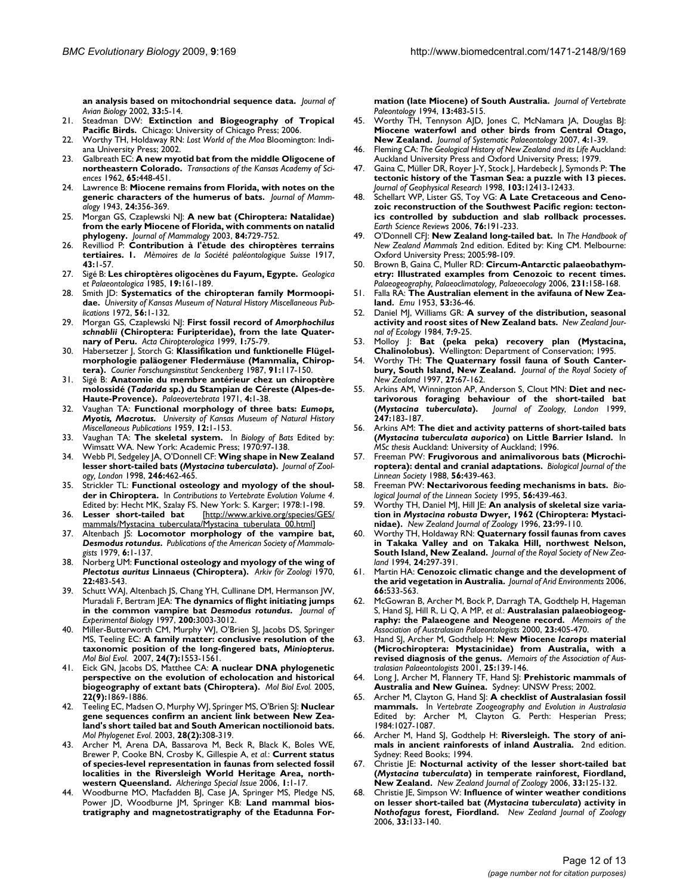**an analysis based on mitochondrial sequence data.** *Journal of Avian Biology* 2002, **33:**5-14.

- 21. Steadman DW: **Extinction and Biogeography of Tropical Pacific Birds.** Chicago: University of Chicago Press; 2006.
- 22. Worthy TH, Holdaway RN: *Lost World of the Moa* Bloomington: Indiana University Press; 2002.
- 23. Galbreath EC: **A new myotid bat from the middle Oligocene of northeastern Colorado.** *Transactions of the Kansas Academy of Sciences* 1962, **65:**448-451.
- 24. Lawrence B: **Miocene remains from Florida, with notes on the generic characters of the humerus of bats.** *Journal of Mammalogy* 1943, **24:**356-369.
- 25. Morgan GS, Czaplewski NJ: **A new bat (Chiroptera: Natalidae) from the early Miocene of Florida, with comments on natalid phylogeny.** *Journal of Mammalogy* 2003, **84:**729-752.
- 26. Revilliod P: **Contribution à l'ètude des chiroptères terrains tertiaires. 1.** *Mèmoires de la Société paléontologique Suisse* 1917, **43:**1-57.
- 27. Sigé B: **Les chiroptères oligocènes du Fayum, Egypte.** *Geologica et Palaeontologica* 1985, **19:**161-189.
- 28. Smith JD: **Systematics of the chiropteran family Mormoopidae.** *University of Kansas Museum of Natural History Miscellaneous Publications* 1972, **56:**1-132.
- 29. Morgan GS, Czaplewski NJ: **First fossil record of** *Amorphochilus schnablii* **(Chiroptera: Furipteridae), from the late Quaternary of Peru.** *Acta Chiropterologica* 1999, **1:**75-79.
- 30. Habersetzer J, Storch G: **Klassifikation und funktionelle Flügelmorphologie paläogener Fledermäuse (Mammalia, Chiroptera).** *Courier Forschungsinstitut Senckenberg* 1987, **91:**117-150.
- 31. Sigé B: **Anatomie du membre antérieur chez un chiroptère molossidé (***Tadarida* **sp.) du Stampian de Céreste (Alpes-de-Haute-Provence).** *Palaeovertebrata* 1971, **4:**1-38.
- 32. Vaughan TA: **Functional morphology of three bats:** *Eumops, Myotis, Macrotus***.** *University of Kansas Museum of Natural History Miscellaneous Publications* 1959, **12:**1-153.
- 33. Vaughan TA: **The skeletal system.** In *Biology of Bats* Edited by: Wimsatt WA. New York: Academic Press; 1970:97-138.
- 34. Webb PI, Sedgeley JA, O'Donnell CF: **Wing shape in New Zealand lesser short-tailed bats (***Mystacina tuberculata***).** *Journal of Zoology, London* 1998, **246:**462-465.
- Strickler TL: **Functional osteology and myology of the shoulder in Chiroptera.** In *Contributions to Vertebrate Evolution Volume 4*. Edited by: Hecht MK, Szalay FS. New York: S. Karger; 1978:1-198.<br>36. Lesser short-tailed bat [http://www.arkive.org/species/GI
- 36. **Lesser short-tailed bat** [[http://www.arkive.org/species/GES/](http://www.arkive.org/species/GES/mammals/Mystacina_tuberculata/Mystacina_tuberulata_00.html) [mammals/Mystacina\\_tuberculata/Mystacina\\_tuberulata\\_00.html\]](http://www.arkive.org/species/GES/mammals/Mystacina_tuberculata/Mystacina_tuberulata_00.html)
- 37. Altenbach JS: **Locomotor morphology of the vampire bat,** *Desmodus rotundus***.** *Publications of the American Society of Mammalogists* 1979, **6:**1-137.
- 38. Norberg UM: **Functional osteology and myology of the wing of** *Plectotus auritus* **Linnaeus (Chiroptera).** *Arkiv för Zoologi* 1970, **22:**483-543.
- 39. Schutt WAJ, Altenbach JS, Chang YH, Cullinane DM, Hermanson JW, Muradali F, Bertram JEA: **The dynamics of flight initiating jumps in the common vampire bat** *Desmodus rotundus***[.](http://www.ncbi.nlm.nih.gov/entrez/query.fcgi?cmd=Retrieve&db=PubMed&dopt=Abstract&list_uids=9359889)** *Journal of Experimental Biology* 1997, **200:**3003-3012.
- 40. Miller-Butterworth CM, Murphy WJ, O'Brien SJ, Jacobs DS, Springer MS, Teeling EC: **A family matter: conclusive resolution of the taxonomic position of the long-fingered bats,** *Miniopterus***[.](http://www.ncbi.nlm.nih.gov/entrez/query.fcgi?cmd=Retrieve&db=PubMed&dopt=Abstract&list_uids=17449895)** *Mol Biol Evol.* 2007, **24(7):**1553-1561.
- 41. Eick GN, Jacobs DS, Matthee CA: **[A nuclear DNA phylogenetic](http://www.ncbi.nlm.nih.gov/entrez/query.fcgi?cmd=Retrieve&db=PubMed&dopt=Abstract&list_uids=15930153) [perspective on the evolution of echolocation and historical](http://www.ncbi.nlm.nih.gov/entrez/query.fcgi?cmd=Retrieve&db=PubMed&dopt=Abstract&list_uids=15930153) [biogeography of extant bats \(Chiroptera\).](http://www.ncbi.nlm.nih.gov/entrez/query.fcgi?cmd=Retrieve&db=PubMed&dopt=Abstract&list_uids=15930153)** *Mol Biol Evol.* 2005, **22(9):**1869-1886.
- 42. Teeling EC, Madsen O, Murphy WJ, Springer MS, O'Brien SJ: **[Nuclear](http://www.ncbi.nlm.nih.gov/entrez/query.fcgi?cmd=Retrieve&db=PubMed&dopt=Abstract&list_uids=12878467) [gene sequences confirm an ancient link between New Zea](http://www.ncbi.nlm.nih.gov/entrez/query.fcgi?cmd=Retrieve&db=PubMed&dopt=Abstract&list_uids=12878467)land's short tailed bat and South American noctilionoid bats.** *Mol Phylogenet Evol.* 2003, **28(2):**308-319.
- 43. Archer M, Arena DA, Bassarova M, Beck R, Black K, Boles WE, Brewer P, Cooke BN, Crosby K, Gillespie A, *et al.*: **Current status of species-level representation in faunas from selected fossil localities in the Riversleigh World Heritage Area, northwestern Queensland.** *Alcheringa Special Issue* 2006, **1:**1-17.
- 44. Woodburne MO, Macfadden BJ, Case JA, Springer MS, Pledge NS, Power JD, Woodburne JM, Springer KB: **Land mammal biostratigraphy and magnetostratigraphy of the Etadunna For-**

**mation (late Miocene) of South Australia.** *Journal of Vertebrate Paleontology* 1994, **13:**483-515.

- 45. Worthy TH, Tennyson AJD, Jones C, McNamara JA, Douglas BJ: **Miocene waterfowl and other birds from Central Otago, New Zealand.** *Journal of Systematic Palaeontology* 2007, **4:**1-39.
- 46. Fleming CA: *The Geological History of New Zealand and its Life* Auckland: Auckland University Press and Oxford University Press; 1979.
- 47. Gaina C, Müller DR, Royer J-Y, Stock J, Hardebeck J, Symonds P: **The tectonic history of the Tasman Sea: a puzzle with 13 pieces.** *Journal of Geophysical Research* 1998, **103:**12413-12433.
- 48. Schellart WP, Lister GS, Toy VG: **A Late Cretaceous and Cenozoic reconstruction of the Southwest Pacific region: tectonics controlled by subduction and slab rollback processes.** *Earth Science Reviews* 2006, **76:**191-233.
- 49. O'Donnell CFJ: **New Zealand long-tailed bat.** In *The Handbook of New Zealand Mammals* 2nd edition. Edited by: King CM. Melbourne: Oxford University Press; 2005:98-109.
- 50. Brown B, Gaina C, Muller RD: **Circum-Antarctic palaeobathymetry: Illustrated examples from Cenozoic to recent times.** *Palaeogeography, Palaeoclimatology, Palaeoecology* 2006, **231:**158-168.
- 51. Falla RA: **The Australian element in the avifauna of New Zealand.** *Emu* 1953, **53:**36-46.
- 52. Daniel MJ, Williams GR: **A survey of the distribution, seasonal activity and roost sites of New Zealand bats.** *New Zealand Journal of Ecology* 1984, **7:**9-25.
- 53. Molloy J: **Bat (peka peka) recovery plan (Mystacina, Chalinolobus).** Wellington: Department of Conservation; 1995.
- 54. Worthy TH: **The Quaternary fossil fauna of South Canterbury, South Island, New Zealand.** *Journal of the Royal Society of New Zealand* 1997, **27:**67-162.
- 55. Arkins AM, Winnington AP, Anderson S, Clout MN: **Diet and nectarivorous foraging behaviour of the short-tailed bat (***Mystacina tuberculata***).** *Journal of Zoology, London* 1999, **247:**183-187.
- 56. Arkins AM: **The diet and activity patterns of short-tailed bats (***Mystacina tuberculata auporica***) on Little Barrier Island.** In *MSc thesis* Auckland: University of Auckland; 1996.
- 57. Freeman PW: **Frugivorous and animalivorous bats (Microchiroptera): dental and cranial adaptations.** *Biological Journal of the Linnean Society* 1988, **56:**439-463.
- 58. Freeman PW: **Nectarivorous feeding mechanisms in bats.** *Biological Journal of the Linnean Society* 1995, **56:**439-463.
- 59. Worthy TH, Daniel MJ, Hill JE: **An analysis of skeletal size variation in** *Mystacina robusta* **Dwyer, 1962 (Chiroptera: Mystacinidae).** *New Zealand Journal of Zoology* 1996, **23:**99-110.
- 60. Worthy TH, Holdaway RN: **Quaternary fossil faunas from caves in Takaka Valley and on Takaka Hill, northwest Nelson, South Island, New Zealand.** *Journal of the Royal Society of New Zealand* 1994, **24:**297-391.
- 61. Martin HA: **Cenozoic climatic change and the development of the arid vegetation in Australia.** *Journal of Arid Environments* 2006, **66:**533-563.
- 62. McGowran B, Archer M, Bock P, Darragh TA, Godthelp H, Hageman S, Hand SJ, Hill R, Li Q, A MP, *et al.*: **Australasian palaeobiogeography: the Palaeogene and Neogene record.** *Memoirs of the Association of Australasian Palaeontologists* 2000, **23:**405-470.
- 63. Hand SJ, Archer M, Godthelp H: **New Miocene** *Icarops* **material (Microchiroptera: Mystacinidae) from Australia, with a revised diagnosis of the genus.** *Memoirs of the Association of Australasian Palaeontologists* 2001, **25:**139-146.
- 64. Long J, Archer M, Flannery TF, Hand SJ: **Prehistoric mammals of Australia and New Guinea.** Sydney: UNSW Press; 2002.
- 65. Archer M, Clayton G, Hand SJ: **A checklist of Australasian fossil mammals.** In *Vertebrate Zoogeography and Evolution in Australasia* Edited by: Archer M, Clayton G. Perth: Hesperian Press; 1984:1027-1087.
- 66. Archer M, Hand SJ, Godthelp H: **Riversleigh. The story of animals in ancient rainforests of inland Australia.** 2nd edition. Sydney: Reed Books; 1994.
- 67. Christie JE: **Nocturnal activity of the lesser short-tailed bat (***Mystacina tuberculata***) in temperate rainforest, Fiordland, New Zealand.** *New Zealand Journal of Zoology* 2006, **33:**125-132.
- 68. Christie JE, Simpson W: **Influence of winter weather conditions on lesser short-tailed bat (***Mystacina tuberculata***) activity in** *Nothofagus* **forest, Fiordland.** *New Zealand Journal of Zoology* 2006, **33:**133-140.